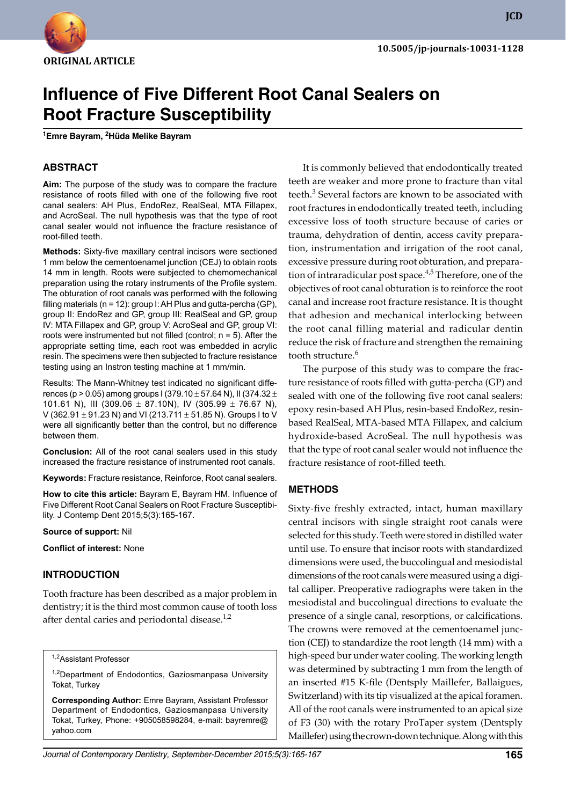

**JCD**

# **Influence of Five Different Root Canal Sealers on Root Fracture Susceptibility**

**1 Emre Bayram, <sup>2</sup> Hüda Melike Bayram**

## **ABSTRACT**

**Aim:** The purpose of the study was to compare the fracture resistance of roots filled with one of the following five root canal sealers: AH Plus, EndoRez, RealSeal, MTA Fillapex, and AcroSeal. The null hypothesis was that the type of root canal sealer would not influence the fracture resistance of root-filled teeth.

**Methods:** Sixty-five maxillary central incisors were sectioned 1 mm below the cementoenamel junction (CEJ) to obtain roots 14 mm in length. Roots were subjected to chemomechanical preparation using the rotary instruments of the Profile system. The obturation of root canals was performed with the following filling materials (n = 12): group I: AH Plus and gutta-percha (GP), group II: EndoRez and GP, group III: RealSeal and GP, group IV: MTA Fillapex and GP, group V: AcroSeal and GP, group VI: roots were instrumented but not filled (control;  $n = 5$ ). After the appropriate setting time, each root was embedded in acrylic resin. The specimens were then subjected to fracture resistance testing using an Instron testing machine at 1 mm/min.

Results: The Mann-Whitney test indicated no significant differences (p > 0.05) among groups I (379.10  $\pm$  57.64 N), II (374.32  $\pm$ 101.61 N), III (309.06  $\pm$  87.10N), IV (305.99  $\pm$  76.67 N), V (362.91  $\pm$  91.23 N) and VI (213.711  $\pm$  51.85 N). Groups I to V were all significantly better than the control, but no difference between them.

**Conclusion:** All of the root canal sealers used in this study increased the fracture resistance of instrumented root canals.

**Keywords:** Fracture resistance, Reinforce, Root canal sealers.

**How to cite this article:** Bayram E, Bayram HM. Influence of Five Different Root Canal Sealers on Root Fracture Susceptibility. J Contemp Dent 2015;5(3):165-167.

**Source of support:** Nil

**Conflict of interest:** None

## **Introduction**

Tooth fracture has been described as a major problem in dentistry; it is the third most common cause of tooth loss after dental caries and periodontal disease.<sup>1,2</sup>

1,2Assistant Professor

<sup>1,2</sup>Department of Endodontics, Gaziosmanpasa University Tokat, Turkey

**Corresponding Author:** Emre Bayram, Assistant Professor Department of Endodontics, Gaziosmanpasa University Tokat, Turkey, Phone: +905058598284, e-mail: bayremre@ yahoo.com

It is commonly believed that endodontically treated teeth are weaker and more prone to fracture than vital teeth.<sup>3</sup> Several factors are known to be associated with root fractures in endodontically treated teeth, including excessive loss of tooth structure because of caries or trauma, dehydration of dentin, access cavity preparation, instrumentation and irrigation of the root canal, excessive pressure during root obturation, and preparation of intraradicular post space.<sup>4,5</sup> Therefore, one of the objectives of root canal obturation is to reinforce the root canal and increase root fracture resistance. It is thought that adhesion and mechanical interlocking between the root canal filling material and radicular dentin reduce the risk of fracture and strengthen the remaining tooth structure.<sup>6</sup>

The purpose of this study was to compare the fracture resistance of roots filled with gutta-percha (GP) and sealed with one of the following five root canal sealers: epoxy resin-based AH Plus, resin-based EndoRez, resinbased RealSeal, MTA-based MTA Fillapex, and calcium hydroxide-based AcroSeal. The null hypothesis was that the type of root canal sealer would not influence the fracture resistance of root-filled teeth.

#### **Methods**

Sixty-five freshly extracted, intact, human maxillary central incisors with single straight root canals were selected for this study. Teeth were stored in distilled water until use. To ensure that incisor roots with standardized dimensions were used, the buccolingual and mesiodistal dimensions of the root canals were measured using a digital calliper. Preoperative radiographs were taken in the mesiodistal and buccolingual directions to evaluate the presence of a single canal, resorptions, or calcifications. The crowns were removed at the cementoenamel junction (CEJ) to standardize the root length (14 mm) with a high-speed bur under water cooling. The working length was determined by subtracting 1 mm from the length of an inserted #15 K-file (Dentsply Maillefer, Ballaigues, Switzerland) with its tip visualized at the apical foramen. All of the root canals were instrumented to an apical size of F3 (30) with the rotary ProTaper system (Dentsply Maillefer) using the crown-down technique. Along with this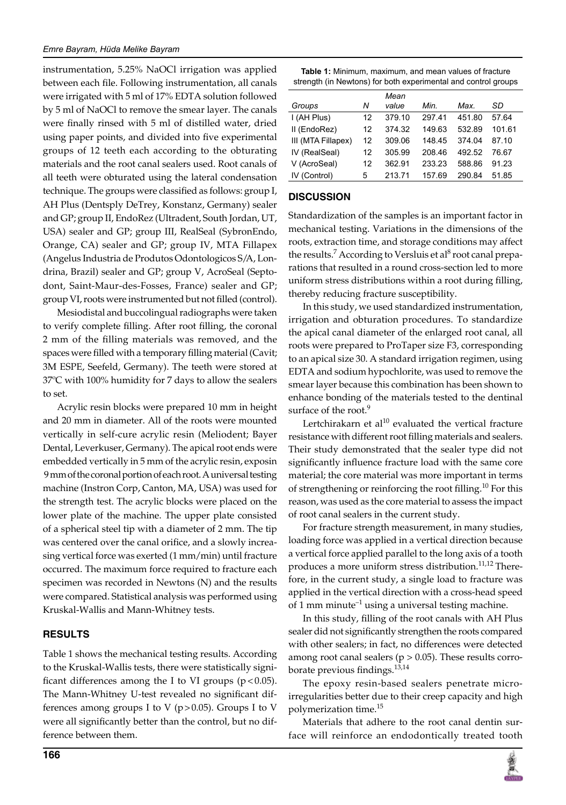instrumentation, 5.25% NaOCl irrigation was applied between each file. Following instrumentation, all canals were irrigated with 5 ml of 17% EDTA solution followed by 5 ml of NaOCl to remove the smear layer. The canals were finally rinsed with 5 ml of distilled water, dried using paper points, and divided into five experimental groups of 12 teeth each according to the obturating materials and the root canal sealers used. Root canals of all teeth were obturated using the lateral condensation technique. The groups were classified as follows: group I, AH Plus (Dentsply DeTrey, Konstanz, Germany) sealer and GP; group II, EndoRez (Ultradent, South Jordan, UT, USA) sealer and GP; group III, RealSeal (SybronEndo, Orange, CA) sealer and GP; group IV, MTA Fillapex (Angelus Industria de Produtos Odontologicos S/A, Londrina, Brazil) sealer and GP; group V, AcroSeal (Septodont, Saint-Maur-des-Fosses, France) sealer and GP; group VI, roots were instrumented but not filled (control).

Mesiodistal and buccolingual radiographs were taken to verify complete filling. After root filling, the coronal 2 mm of the filling materials was removed, and the spaces were filled with a temporary filling material (Cavit; 3M ESPE, Seefeld, Germany). The teeth were stored at 37ºC with 100% humidity for 7 days to allow the sealers to set.

Acrylic resin blocks were prepared 10 mm in height and 20 mm in diameter. All of the roots were mounted vertically in self-cure acrylic resin (Meliodent; Bayer Dental, Leverkuser, Germany). The apical root ends were embedded vertically in 5 mm of the acrylic resin, exposin 9 mm of the coronal portion of each root. A universal testing machine (Instron Corp, Canton, MA, USA) was used for the strength test. The acrylic blocks were placed on the lower plate of the machine. The upper plate consisted of a spherical steel tip with a diameter of 2 mm. The tip was centered over the canal orifice, and a slowly increasing vertical force was exerted (1 mm/min) until fracture occurred. The maximum force required to fracture each specimen was recorded in Newtons (N) and the results were compared. Statistical analysis was performed using Kruskal-Wallis and Mann-Whitney tests.

# **RESULTS**

Table 1 shows the mechanical testing results. According to the Kruskal-Wallis tests, there were statistically significant differences among the I to VI groups  $(p < 0.05)$ . The Mann-Whitney U-test revealed no significant differences among groups I to V ( $p > 0.05$ ). Groups I to V were all significantly better than the control, but no difference between them.

| <b>Table 1:</b> Minimum, maximum, and mean values of fracture  |  |
|----------------------------------------------------------------|--|
| strength (in Newtons) for both experimental and control groups |  |

|                    |    | Mean   |        |        |        |
|--------------------|----|--------|--------|--------|--------|
| Groups             | Ν  | value  | Min.   | Max.   | SD     |
| I (AH Plus)        | 12 | 379.10 | 297.41 | 451.80 | 57.64  |
| II (EndoRez)       | 12 | 374.32 | 149.63 | 532.89 | 101.61 |
| III (MTA Fillapex) | 12 | 309.06 | 148.45 | 374.04 | 87.10  |
| IV (RealSeal)      | 12 | 305.99 | 208.46 | 492.52 | 76.67  |
| V (AcroSeal)       | 12 | 362.91 | 233.23 | 588.86 | 91.23  |
| IV (Control)       | 5  | 213.71 | 157.69 | 290.84 | 51.85  |

# **DISCUSSION**

Standardization of the samples is an important factor in mechanical testing. Variations in the dimensions of the roots, extraction time, and storage conditions may affect the results.<sup>7</sup> According to Versluis et al<sup>8</sup> root canal preparations that resulted in a round cross-section led to more uniform stress distributions within a root during filling, thereby reducing fracture susceptibility.

In this study, we used standardized instrumentation, irrigation and obturation procedures. To standardize the apical canal diameter of the enlarged root canal, all roots were prepared to ProTaper size F3, corresponding to an apical size 30. A standard irrigation regimen, using EDTA and sodium hypochlorite, was used to remove the smear layer because this combination has been shown to enhance bonding of the materials tested to the dentinal surface of the root.<sup>9</sup>

Lertchirakarn et al $10$  evaluated the vertical fracture resistance with different root filling materials and sealers. Their study demonstrated that the sealer type did not significantly influence fracture load with the same core material; the core material was more important in terms of strengthening or reinforcing the root filling.<sup>10</sup> For this reason, was used as the core material to assess the impact of root canal sealers in the current study.

For fracture strength measurement, in many studies, loading force was applied in a vertical direction because a vertical force applied parallel to the long axis of a tooth produces a more uniform stress distribution.<sup>11,12</sup> Therefore, in the current study, a single load to fracture was applied in the vertical direction with a cross-head speed of 1 mm minute<sup>-1</sup> using a universal testing machine.

In this study, filling of the root canals with AH Plus sealer did not significantly strengthen the roots compared with other sealers; in fact, no differences were detected among root canal sealers ( $p > 0.05$ ). These results corroborate previous findings.13,14

The epoxy resin-based sealers penetrate microirregularities better due to their creep capacity and high polymerization time.<sup>15</sup>

Materials that adhere to the root canal dentin surface will reinforce an endodontically treated tooth